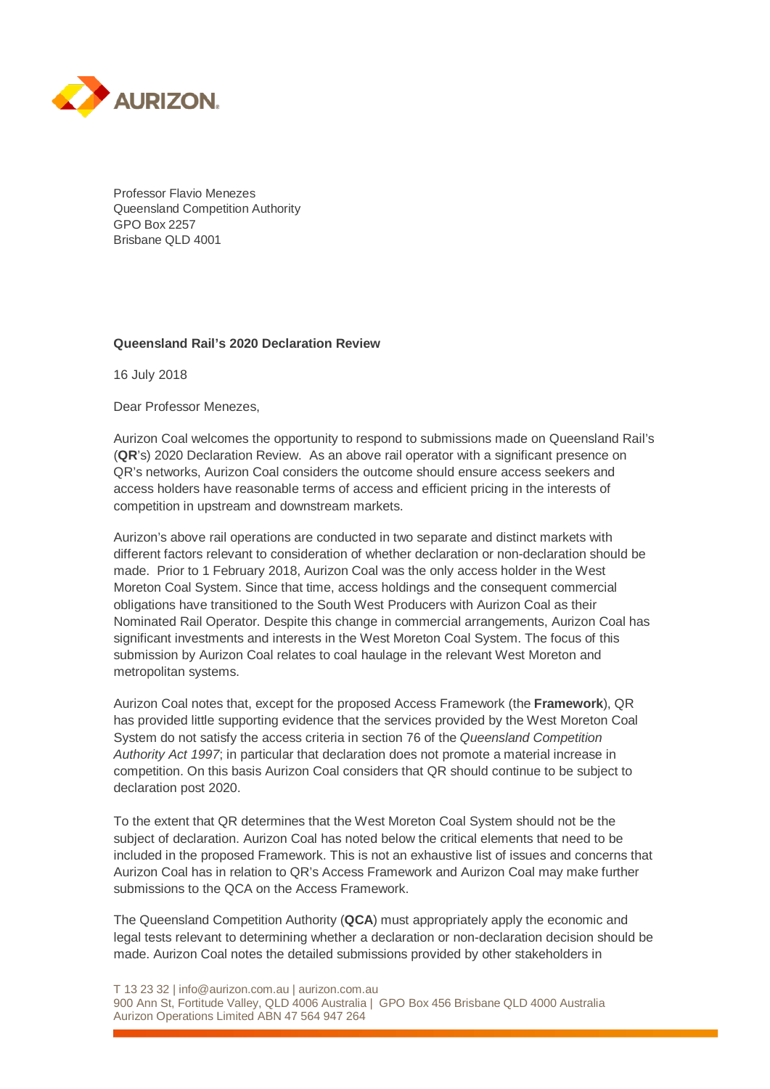

Professor Flavio Menezes Queensland Competition Authority GPO Box 2257 Brisbane QLD 4001

# **Queensland Rail's 2020 Declaration Review**

16 July 2018

Dear Professor Menezes,

Aurizon Coal welcomes the opportunity to respond to submissions made on Queensland Rail's (**QR**'s) 2020 Declaration Review. As an above rail operator with a significant presence on QR's networks, Aurizon Coal considers the outcome should ensure access seekers and access holders have reasonable terms of access and efficient pricing in the interests of competition in upstream and downstream markets.

Aurizon's above rail operations are conducted in two separate and distinct markets with different factors relevant to consideration of whether declaration or non-declaration should be made. Prior to 1 February 2018, Aurizon Coal was the only access holder in the West Moreton Coal System. Since that time, access holdings and the consequent commercial obligations have transitioned to the South West Producers with Aurizon Coal as their Nominated Rail Operator. Despite this change in commercial arrangements, Aurizon Coal has significant investments and interests in the West Moreton Coal System. The focus of this submission by Aurizon Coal relates to coal haulage in the relevant West Moreton and metropolitan systems.

Aurizon Coal notes that, except for the proposed Access Framework (the **Framework**), QR has provided little supporting evidence that the services provided by the West Moreton Coal System do not satisfy the access criteria in section 76 of the *Queensland Competition Authority Act 1997*; in particular that declaration does not promote a material increase in competition. On this basis Aurizon Coal considers that QR should continue to be subject to declaration post 2020.

To the extent that QR determines that the West Moreton Coal System should not be the subject of declaration. Aurizon Coal has noted below the critical elements that need to be included in the proposed Framework. This is not an exhaustive list of issues and concerns that Aurizon Coal has in relation to QR's Access Framework and Aurizon Coal may make further submissions to the QCA on the Access Framework.

The Queensland Competition Authority (**QCA**) must appropriately apply the economic and legal tests relevant to determining whether a declaration or non-declaration decision should be made. Aurizon Coal notes the detailed submissions provided by other stakeholders in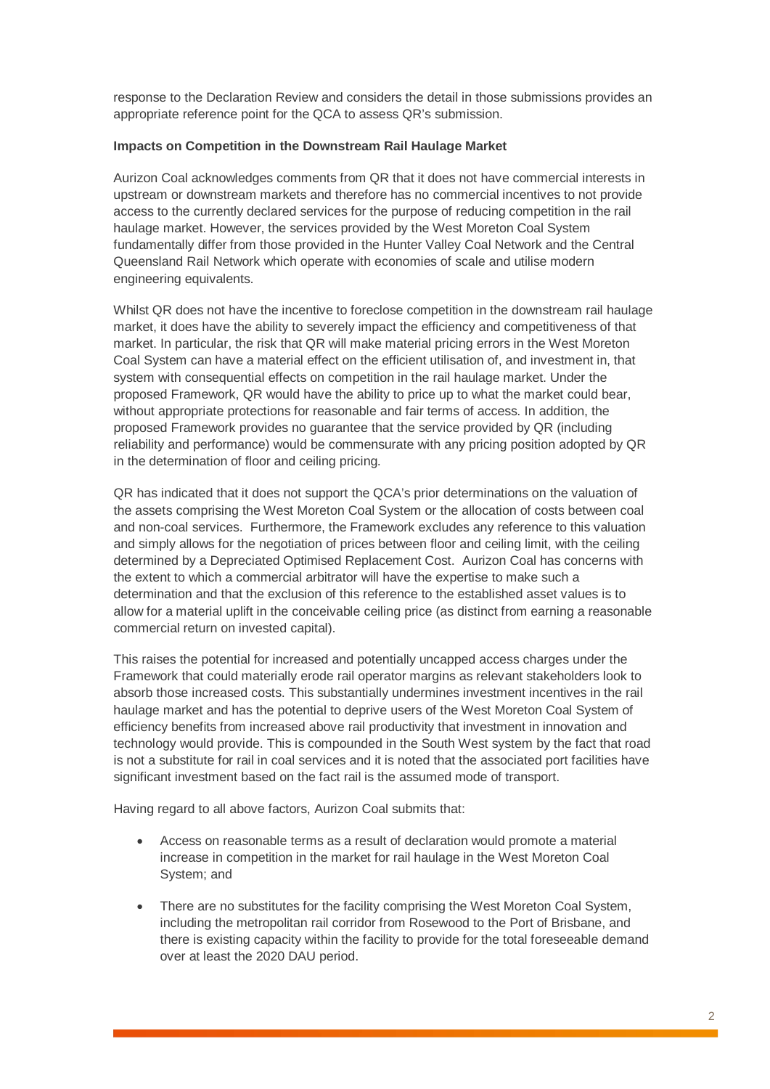response to the Declaration Review and considers the detail in those submissions provides an appropriate reference point for the QCA to assess QR's submission.

# **Impacts on Competition in the Downstream Rail Haulage Market**

Aurizon Coal acknowledges comments from QR that it does not have commercial interests in upstream or downstream markets and therefore has no commercial incentives to not provide access to the currently declared services for the purpose of reducing competition in the rail haulage market. However, the services provided by the West Moreton Coal System fundamentally differ from those provided in the Hunter Valley Coal Network and the Central Queensland Rail Network which operate with economies of scale and utilise modern engineering equivalents.

Whilst QR does not have the incentive to foreclose competition in the downstream rail haulage market, it does have the ability to severely impact the efficiency and competitiveness of that market. In particular, the risk that QR will make material pricing errors in the West Moreton Coal System can have a material effect on the efficient utilisation of, and investment in, that system with consequential effects on competition in the rail haulage market. Under the proposed Framework, QR would have the ability to price up to what the market could bear, without appropriate protections for reasonable and fair terms of access. In addition, the proposed Framework provides no guarantee that the service provided by QR (including reliability and performance) would be commensurate with any pricing position adopted by QR in the determination of floor and ceiling pricing.

QR has indicated that it does not support the QCA's prior determinations on the valuation of the assets comprising the West Moreton Coal System or the allocation of costs between coal and non-coal services. Furthermore, the Framework excludes any reference to this valuation and simply allows for the negotiation of prices between floor and ceiling limit, with the ceiling determined by a Depreciated Optimised Replacement Cost. Aurizon Coal has concerns with the extent to which a commercial arbitrator will have the expertise to make such a determination and that the exclusion of this reference to the established asset values is to allow for a material uplift in the conceivable ceiling price (as distinct from earning a reasonable commercial return on invested capital).

This raises the potential for increased and potentially uncapped access charges under the Framework that could materially erode rail operator margins as relevant stakeholders look to absorb those increased costs. This substantially undermines investment incentives in the rail haulage market and has the potential to deprive users of the West Moreton Coal System of efficiency benefits from increased above rail productivity that investment in innovation and technology would provide. This is compounded in the South West system by the fact that road is not a substitute for rail in coal services and it is noted that the associated port facilities have significant investment based on the fact rail is the assumed mode of transport.

Having regard to all above factors, Aurizon Coal submits that:

- Access on reasonable terms as a result of declaration would promote a material increase in competition in the market for rail haulage in the West Moreton Coal System; and
- There are no substitutes for the facility comprising the West Moreton Coal System, including the metropolitan rail corridor from Rosewood to the Port of Brisbane, and there is existing capacity within the facility to provide for the total foreseeable demand over at least the 2020 DAU period.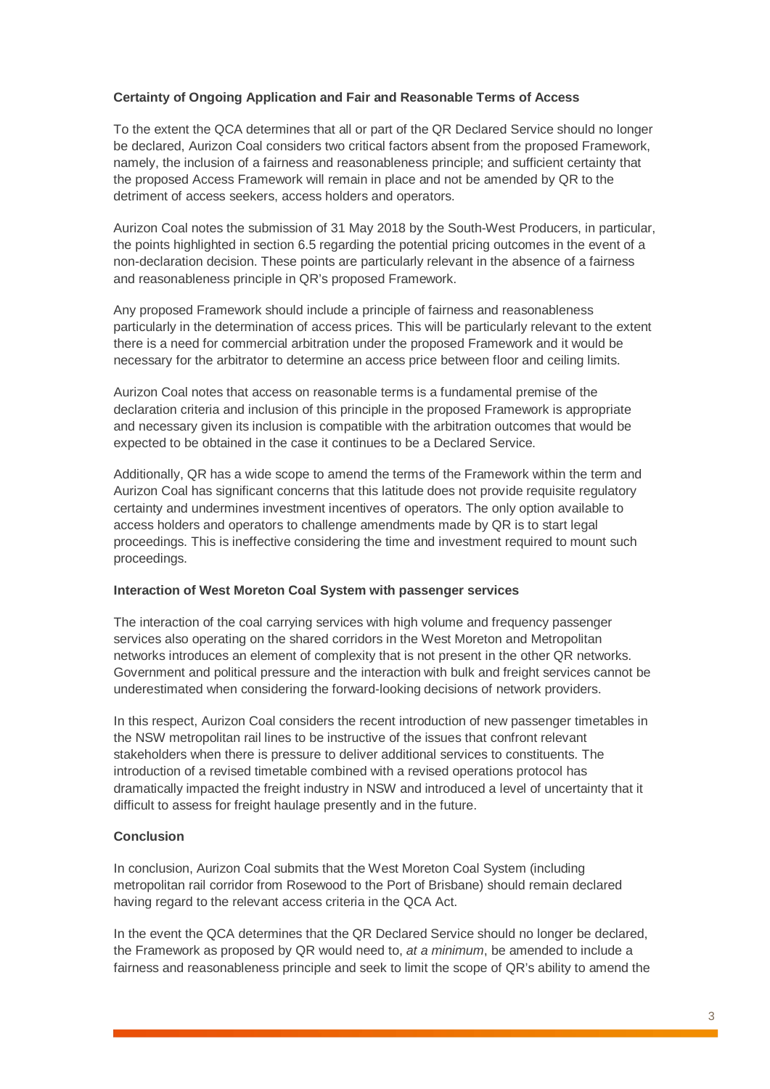# **Certainty of Ongoing Application and Fair and Reasonable Terms of Access**

To the extent the QCA determines that all or part of the QR Declared Service should no longer be declared, Aurizon Coal considers two critical factors absent from the proposed Framework, namely, the inclusion of a fairness and reasonableness principle; and sufficient certainty that the proposed Access Framework will remain in place and not be amended by QR to the detriment of access seekers, access holders and operators.

Aurizon Coal notes the submission of 31 May 2018 by the South-West Producers, in particular, the points highlighted in section 6.5 regarding the potential pricing outcomes in the event of a non-declaration decision. These points are particularly relevant in the absence of a fairness and reasonableness principle in QR's proposed Framework.

Any proposed Framework should include a principle of fairness and reasonableness particularly in the determination of access prices. This will be particularly relevant to the extent there is a need for commercial arbitration under the proposed Framework and it would be necessary for the arbitrator to determine an access price between floor and ceiling limits.

Aurizon Coal notes that access on reasonable terms is a fundamental premise of the declaration criteria and inclusion of this principle in the proposed Framework is appropriate and necessary given its inclusion is compatible with the arbitration outcomes that would be expected to be obtained in the case it continues to be a Declared Service.

Additionally, QR has a wide scope to amend the terms of the Framework within the term and Aurizon Coal has significant concerns that this latitude does not provide requisite regulatory certainty and undermines investment incentives of operators. The only option available to access holders and operators to challenge amendments made by QR is to start legal proceedings. This is ineffective considering the time and investment required to mount such proceedings.

# **Interaction of West Moreton Coal System with passenger services**

The interaction of the coal carrying services with high volume and frequency passenger services also operating on the shared corridors in the West Moreton and Metropolitan networks introduces an element of complexity that is not present in the other QR networks. Government and political pressure and the interaction with bulk and freight services cannot be underestimated when considering the forward-looking decisions of network providers.

In this respect, Aurizon Coal considers the recent introduction of new passenger timetables in the NSW metropolitan rail lines to be instructive of the issues that confront relevant stakeholders when there is pressure to deliver additional services to constituents. The introduction of a revised timetable combined with a revised operations protocol has dramatically impacted the freight industry in NSW and introduced a level of uncertainty that it difficult to assess for freight haulage presently and in the future.

# **Conclusion**

In conclusion, Aurizon Coal submits that the West Moreton Coal System (including metropolitan rail corridor from Rosewood to the Port of Brisbane) should remain declared having regard to the relevant access criteria in the QCA Act.

In the event the QCA determines that the QR Declared Service should no longer be declared, the Framework as proposed by QR would need to, *at a minimum*, be amended to include a fairness and reasonableness principle and seek to limit the scope of QR's ability to amend the